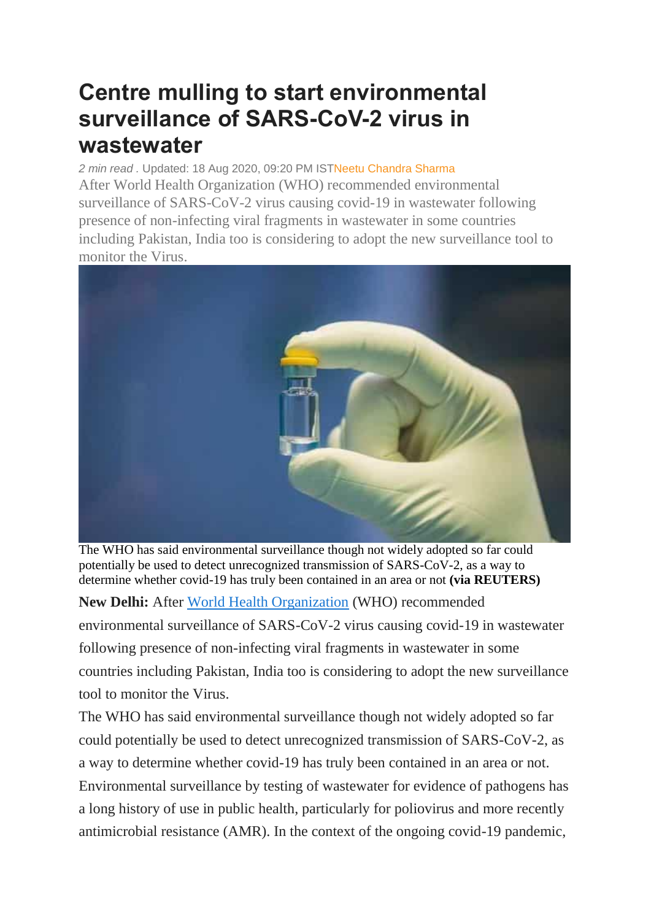## **Centre mulling to start environmental surveillance of SARS-CoV-2 virus in wastewater**

*2 min read .* Updated: 18 Aug 2020, 09:20 PM IS[TNeetu Chandra Sharma](https://www.livemint.com/Search/Link/Author/Neetu-Chandra-Sharma) After World Health Organization (WHO) recommended environmental surveillance of SARS-CoV-2 virus causing covid-19 in wastewater following presence of non-infecting viral fragments in wastewater in some countries including Pakistan, India too is considering to adopt the new surveillance tool to monitor the Virus.



The WHO has said environmental surveillance though not widely adopted so far could potentially be used to detect unrecognized transmission of SARS-CoV-2, as a way to determine whether covid-19 has truly been contained in an area or not **(via REUTERS)**

**New Delhi:** After [World Health Organization](https://www.livemint.com/news/world/who-calls-for-end-to-vaccine-nationalism-urges-widespread-flu-vaccinations-11597748432572.html) (WHO) recommended environmental surveillance of SARS-CoV-2 virus causing covid-19 in wastewater following presence of non-infecting viral fragments in wastewater in some countries including Pakistan, India too is considering to adopt the new surveillance tool to monitor the Virus.

The WHO has said environmental surveillance though not widely adopted so far could potentially be used to detect unrecognized transmission of SARS-CoV-2, as a way to determine whether covid-19 has truly been contained in an area or not. Environmental surveillance by testing of wastewater for evidence of pathogens has a long history of use in public health, particularly for poliovirus and more recently antimicrobial resistance (AMR). In the context of the ongoing covid-19 pandemic,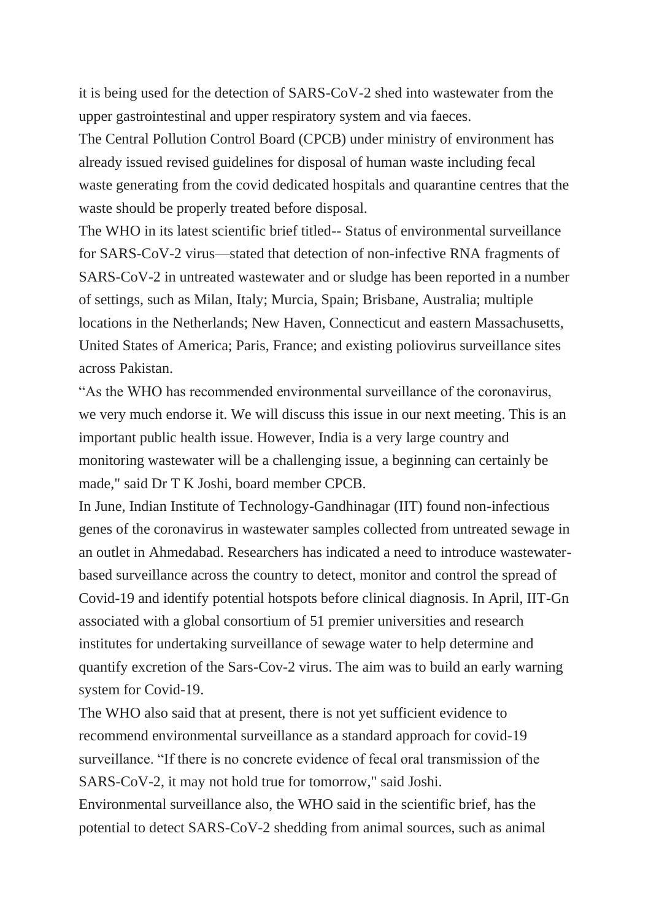it is being used for the detection of SARS-CoV-2 shed into wastewater from the upper gastrointestinal and upper respiratory system and via faeces.

The Central Pollution Control Board (CPCB) under ministry of environment has already issued revised guidelines for disposal of human waste including fecal waste generating from the covid dedicated hospitals and quarantine centres that the waste should be properly treated before disposal.

The WHO in its latest scientific brief titled-- Status of environmental surveillance for SARS-CoV-2 virus—stated that detection of non-infective RNA fragments of SARS-CoV-2 in untreated wastewater and or sludge has been reported in a number of settings, such as Milan, Italy; Murcia, Spain; Brisbane, Australia; multiple locations in the Netherlands; New Haven, Connecticut and eastern Massachusetts, United States of America; Paris, France; and existing poliovirus surveillance sites across Pakistan.

"As the WHO has recommended environmental surveillance of the coronavirus, we very much endorse it. We will discuss this issue in our next meeting. This is an important public health issue. However, India is a very large country and monitoring wastewater will be a challenging issue, a beginning can certainly be made," said Dr T K Joshi, board member CPCB.

In June, Indian Institute of Technology-Gandhinagar (IIT) found non-infectious genes of the coronavirus in wastewater samples collected from untreated sewage in an outlet in Ahmedabad. Researchers has indicated a need to introduce wastewaterbased surveillance across the country to detect, monitor and control the spread of Covid-19 and identify potential hotspots before clinical diagnosis. In April, IIT-Gn associated with a global consortium of 51 premier universities and research institutes for undertaking surveillance of sewage water to help determine and quantify excretion of the Sars-Cov-2 virus. The aim was to build an early warning system for Covid-19.

The WHO also said that at present, there is not yet sufficient evidence to recommend environmental surveillance as a standard approach for covid-19 surveillance. "If there is no concrete evidence of fecal oral transmission of the SARS-CoV-2, it may not hold true for tomorrow," said Joshi.

Environmental surveillance also, the WHO said in the scientific brief, has the potential to detect SARS-CoV-2 shedding from animal sources, such as animal